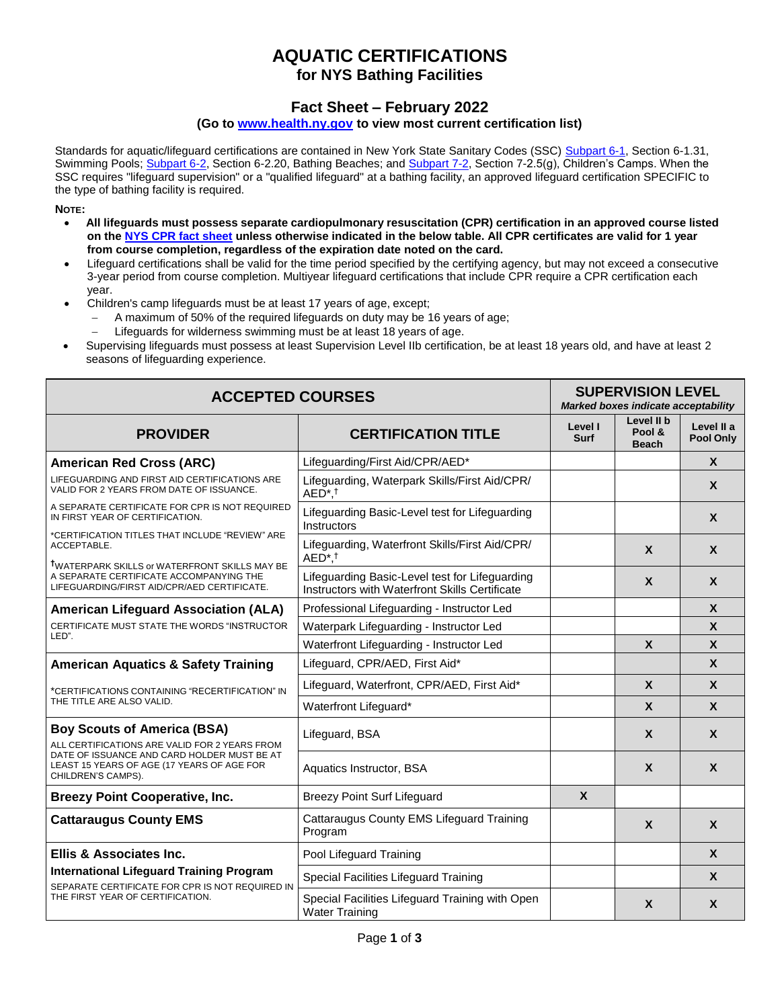## **AQUATIC CERTIFICATIONS for NYS Bathing Facilities**

## **Fact Sheet – February 2022**

## **(Go t[o www.health.ny.gov t](http://www.health.ny.gov/)o view most current certification list)**

Standards for aquatic/lifeguard certifications are contained in New York State Sanitary Codes (SSC) [Subpart 6-1, S](https://regs.health.ny.gov/content/subpart-6-1-swimming-pools)ection 6-1.31, Swimming Pools; [Subpart 6-2, S](https://regs.health.ny.gov/content/subpart-6-2-bathing-beaches)ection 6-2.20, Bathing Beaches; an[d Subpart 7-2, S](https://regs.health.ny.gov/content/subpart-7-2-childrens-camps)ection 7-2.5(g), Children's Camps. When the SSC requires "lifeguard supervision" or a "qualified lifeguard" at a bathing facility, an approved lifeguard certification SPECIFIC to the type of bathing facility is required.

**NOTE:** 

- **All lifeguards must possess separate cardiopulmonary resuscitation (CPR) certification in an approved course listed on the [NYS CPR fact sheet u](https://www.health.ny.gov/environmental/outdoors/camps/docs/cpr.pdf)nless otherwise indicated in the below table. All CPR certificates are valid for 1 year from course completion, regardless of the expiration date noted on the card.**
- Lifeguard certifications shall be valid for the time period specified by the certifying agency, but may not exceed a consecutive 3-year period from course completion. Multiyear lifeguard certifications that include CPR require a CPR certification each year.
- Children's camp lifeguards must be at least 17 years of age, except;
	- A maximum of 50% of the required lifeguards on duty may be 16 years of age;
	- Lifeguards for wilderness swimming must be at least 18 years of age.
- Supervising lifeguards must possess at least Supervision Level IIb certification, be at least 18 years old, and have at least 2 seasons of lifeguarding experience.

| <b>ACCEPTED COURSES</b>                                                                                                                                                                                |                                                                                                  | <b>SUPERVISION LEVEL</b><br>Marked boxes indicate acceptability |                                      |                           |
|--------------------------------------------------------------------------------------------------------------------------------------------------------------------------------------------------------|--------------------------------------------------------------------------------------------------|-----------------------------------------------------------------|--------------------------------------|---------------------------|
| <b>PROVIDER</b>                                                                                                                                                                                        | <b>CERTIFICATION TITLE</b>                                                                       | Level I<br>Surf                                                 | Level II b<br>Pool &<br><b>Beach</b> | Level II a<br>Pool Only   |
| <b>American Red Cross (ARC)</b>                                                                                                                                                                        | Lifeguarding/First Aid/CPR/AED*                                                                  |                                                                 |                                      | $\mathbf{x}$              |
| LIFEGUARDING AND FIRST AID CERTIFICATIONS ARE<br>VALID FOR 2 YEARS FROM DATE OF ISSUANCE.                                                                                                              | Lifeguarding, Waterpark Skills/First Aid/CPR/<br>$AED^*$ , <sup>†</sup>                          |                                                                 |                                      | $\mathbf x$               |
| A SEPARATE CERTIFICATE FOR CPR IS NOT REQUIRED<br>IN FIRST YEAR OF CERTIFICATION.                                                                                                                      | Lifeguarding Basic-Level test for Lifeguarding<br>Instructors                                    |                                                                 |                                      | $\mathbf{x}$              |
| *CERTIFICATION TITLES THAT INCLUDE "REVIEW" ARE<br>ACCEPTABLE.                                                                                                                                         | Lifeguarding, Waterfront Skills/First Aid/CPR/<br>$AED^*$ , <sup>†</sup>                         |                                                                 | $\mathbf{x}$                         | $\mathbf{x}$              |
| TWATERPARK SKILLS or WATERFRONT SKILLS MAY BE<br>A SEPARATE CERTIFICATE ACCOMPANYING THE<br>LIFEGUARDING/FIRST AID/CPR/AED CERTIFICATE.                                                                | Lifeguarding Basic-Level test for Lifeguarding<br>Instructors with Waterfront Skills Certificate |                                                                 | $\mathbf{x}$                         | $\mathbf{x}$              |
| <b>American Lifeguard Association (ALA)</b>                                                                                                                                                            | Professional Lifeguarding - Instructor Led                                                       |                                                                 |                                      | $\boldsymbol{\mathsf{x}}$ |
| CERTIFICATE MUST STATE THE WORDS "INSTRUCTOR                                                                                                                                                           | Waterpark Lifeguarding - Instructor Led                                                          |                                                                 |                                      | X                         |
| LED".                                                                                                                                                                                                  | Waterfront Lifeguarding - Instructor Led                                                         |                                                                 | $\mathbf{x}$                         | $\boldsymbol{x}$          |
| <b>American Aquatics &amp; Safety Training</b>                                                                                                                                                         | Lifeguard, CPR/AED, First Aid*                                                                   |                                                                 |                                      | $\mathbf{x}$              |
| *CERTIFICATIONS CONTAINING "RECERTIFICATION" IN<br>THE TITLE ARE ALSO VALID.                                                                                                                           | Lifeguard, Waterfront, CPR/AED, First Aid*                                                       |                                                                 | $\mathbf{x}$                         | $\mathbf{x}$              |
|                                                                                                                                                                                                        | Waterfront Lifeguard*                                                                            |                                                                 | $\mathbf{x}$                         | $\mathsf{x}$              |
| <b>Boy Scouts of America (BSA)</b><br>ALL CERTIFICATIONS ARE VALID FOR 2 YEARS FROM<br>DATE OF ISSUANCE AND CARD HOLDER MUST BE AT<br>LEAST 15 YEARS OF AGE (17 YEARS OF AGE FOR<br>CHILDREN'S CAMPS). | Lifeguard, BSA                                                                                   |                                                                 | $\mathbf{x}$                         | $\mathbf x$               |
|                                                                                                                                                                                                        | Aquatics Instructor, BSA                                                                         |                                                                 | $\boldsymbol{x}$                     | $\boldsymbol{x}$          |
| <b>Breezy Point Cooperative, Inc.</b>                                                                                                                                                                  | <b>Breezy Point Surf Lifeguard</b>                                                               | $\mathbf{x}$                                                    |                                      |                           |
| <b>Cattaraugus County EMS</b>                                                                                                                                                                          | Cattaraugus County EMS Lifeguard Training<br>Program                                             |                                                                 | $\mathbf{x}$                         | $\mathsf{x}$              |
| Ellis & Associates Inc.                                                                                                                                                                                | Pool Lifeguard Training                                                                          |                                                                 |                                      | $\mathbf{x}$              |
| <b>International Lifeguard Training Program</b><br>SEPARATE CERTIFICATE FOR CPR IS NOT REQUIRED IN<br>THE FIRST YEAR OF CERTIFICATION.                                                                 | Special Facilities Lifeguard Training                                                            |                                                                 |                                      | X                         |
|                                                                                                                                                                                                        | Special Facilities Lifeguard Training with Open<br><b>Water Training</b>                         |                                                                 | $\boldsymbol{X}$                     | X                         |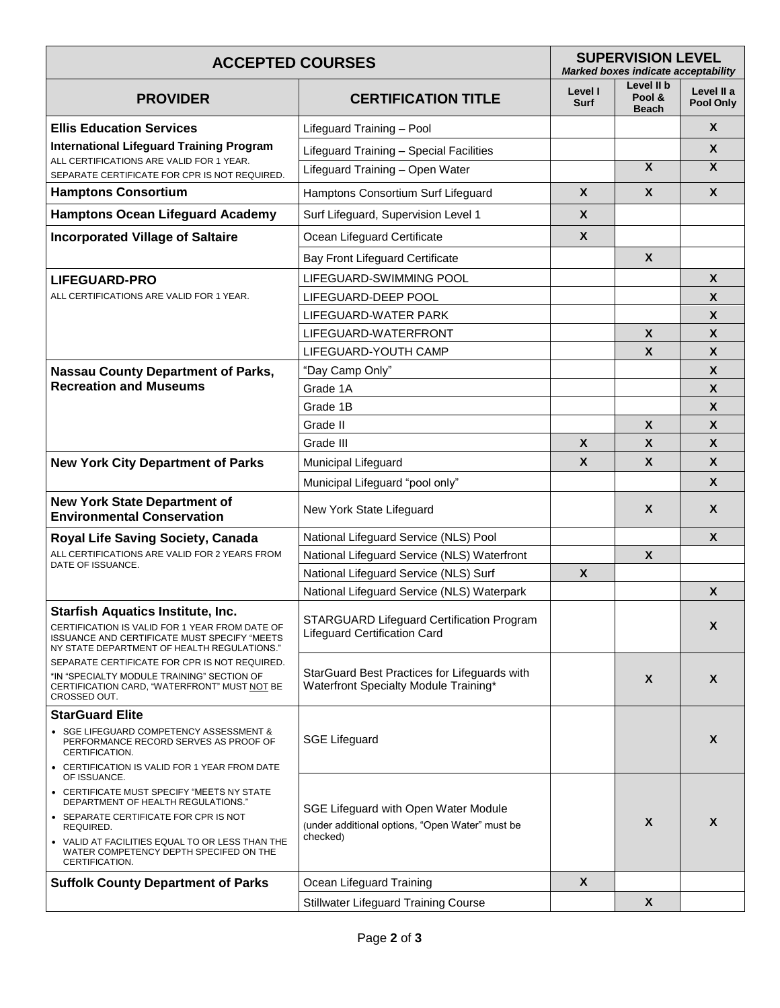| <b>ACCEPTED COURSES</b>                                                                                                                                                                   |                                                                                                     | <b>SUPERVISION LEVEL</b><br>Marked boxes indicate acceptability |                                      |                           |
|-------------------------------------------------------------------------------------------------------------------------------------------------------------------------------------------|-----------------------------------------------------------------------------------------------------|-----------------------------------------------------------------|--------------------------------------|---------------------------|
| <b>PROVIDER</b>                                                                                                                                                                           | <b>CERTIFICATION TITLE</b>                                                                          | Level I<br><b>Surf</b>                                          | Level II b<br>Pool &<br><b>Beach</b> | Level II a<br>Pool Only   |
| <b>Ellis Education Services</b><br><b>International Lifeguard Training Program</b><br>ALL CERTIFICATIONS ARE VALID FOR 1 YEAR.<br>SEPARATE CERTIFICATE FOR CPR IS NOT REQUIRED.           | Lifeguard Training - Pool                                                                           |                                                                 |                                      | $\mathsf{X}$              |
|                                                                                                                                                                                           | Lifeguard Training - Special Facilities                                                             |                                                                 |                                      | X                         |
|                                                                                                                                                                                           | Lifeguard Training - Open Water                                                                     |                                                                 | $\overline{\mathbf{X}}$              | $\overline{\mathbf{X}}$   |
| <b>Hamptons Consortium</b>                                                                                                                                                                | Hamptons Consortium Surf Lifeguard                                                                  | X                                                               | $\mathbf{x}$                         | $\mathbf{x}$              |
| <b>Hamptons Ocean Lifeguard Academy</b>                                                                                                                                                   | Surf Lifeguard, Supervision Level 1                                                                 | X                                                               |                                      |                           |
| <b>Incorporated Village of Saltaire</b>                                                                                                                                                   | Ocean Lifeguard Certificate                                                                         | X                                                               |                                      |                           |
|                                                                                                                                                                                           | Bay Front Lifeguard Certificate                                                                     |                                                                 | X                                    |                           |
| <b>LIFEGUARD-PRO</b>                                                                                                                                                                      | LIFEGUARD-SWIMMING POOL                                                                             |                                                                 |                                      | $\mathsf{x}$              |
| ALL CERTIFICATIONS ARE VALID FOR 1 YEAR.                                                                                                                                                  | LIFEGUARD-DEEP POOL                                                                                 |                                                                 |                                      | X                         |
|                                                                                                                                                                                           | LIFEGUARD-WATER PARK                                                                                |                                                                 |                                      | $\boldsymbol{\mathsf{x}}$ |
|                                                                                                                                                                                           | LIFEGUARD-WATERFRONT                                                                                |                                                                 | X                                    | X                         |
|                                                                                                                                                                                           | LIFEGUARD-YOUTH CAMP                                                                                |                                                                 | X                                    | X                         |
| <b>Nassau County Department of Parks,</b>                                                                                                                                                 | "Day Camp Only"                                                                                     |                                                                 |                                      | X                         |
| <b>Recreation and Museums</b>                                                                                                                                                             | Grade 1A                                                                                            |                                                                 |                                      | $\boldsymbol{\mathsf{X}}$ |
|                                                                                                                                                                                           | Grade 1B                                                                                            |                                                                 |                                      | X                         |
|                                                                                                                                                                                           | Grade II                                                                                            |                                                                 | $\boldsymbol{X}$                     | X                         |
|                                                                                                                                                                                           | Grade III                                                                                           | $\boldsymbol{X}$                                                | X                                    | X                         |
| <b>New York City Department of Parks</b>                                                                                                                                                  | Municipal Lifeguard                                                                                 | $\mathbf{x}$                                                    | X                                    | X                         |
|                                                                                                                                                                                           | Municipal Lifeguard "pool only"                                                                     |                                                                 |                                      | X                         |
| <b>New York State Department of</b><br><b>Environmental Conservation</b>                                                                                                                  | New York State Lifeguard                                                                            |                                                                 | X                                    | X                         |
| Royal Life Saving Society, Canada                                                                                                                                                         | National Lifeguard Service (NLS) Pool                                                               |                                                                 |                                      | X                         |
| ALL CERTIFICATIONS ARE VALID FOR 2 YEARS FROM                                                                                                                                             | National Lifeguard Service (NLS) Waterfront                                                         |                                                                 | $\boldsymbol{\mathsf{X}}$            |                           |
| DATE OF ISSUANCE.                                                                                                                                                                         | National Lifeguard Service (NLS) Surf                                                               | X                                                               |                                      |                           |
|                                                                                                                                                                                           | National Lifeguard Service (NLS) Waterpark                                                          |                                                                 |                                      | X                         |
| <b>Starfish Aquatics Institute, Inc.</b><br>CERTIFICATION IS VALID FOR 1 YEAR FROM DATE OF<br>ISSUANCE AND CERTIFICATE MUST SPECIFY "MEETS<br>NY STATE DEPARTMENT OF HEALTH REGULATIONS." | STARGUARD Lifeguard Certification Program<br><b>Lifeguard Certification Card</b>                    |                                                                 |                                      | X                         |
| SEPARATE CERTIFICATE FOR CPR IS NOT REQUIRED.<br>*IN "SPECIALTY MODULE TRAINING" SECTION OF<br>CERTIFICATION CARD, "WATERFRONT" MUST NOT BE                                               | StarGuard Best Practices for Lifeguards with<br>Waterfront Specialty Module Training*               |                                                                 | $\boldsymbol{X}$                     | X                         |
| CROSSED OUT.                                                                                                                                                                              |                                                                                                     |                                                                 |                                      |                           |
| <b>StarGuard Elite</b>                                                                                                                                                                    |                                                                                                     |                                                                 |                                      |                           |
| • SGE LIFEGUARD COMPETENCY ASSESSMENT &<br>PERFORMANCE RECORD SERVES AS PROOF OF<br>CERTIFICATION.                                                                                        | <b>SGE Lifeguard</b>                                                                                |                                                                 |                                      | X                         |
| • CERTIFICATION IS VALID FOR 1 YEAR FROM DATE<br>OF ISSUANCE.                                                                                                                             |                                                                                                     |                                                                 |                                      |                           |
| • CERTIFICATE MUST SPECIFY "MEETS NY STATE<br>DEPARTMENT OF HEALTH REGULATIONS."                                                                                                          | SGE Lifeguard with Open Water Module<br>(under additional options, "Open Water" must be<br>checked) |                                                                 |                                      |                           |
| • SEPARATE CERTIFICATE FOR CPR IS NOT<br>REQUIRED.                                                                                                                                        |                                                                                                     |                                                                 | X                                    | X                         |
| • VALID AT FACILITIES EQUAL TO OR LESS THAN THE<br>WATER COMPETENCY DEPTH SPECIFED ON THE<br>CERTIFICATION.                                                                               |                                                                                                     |                                                                 |                                      |                           |
| <b>Suffolk County Department of Parks</b>                                                                                                                                                 | Ocean Lifeguard Training                                                                            | X                                                               |                                      |                           |
|                                                                                                                                                                                           | <b>Stillwater Lifeguard Training Course</b>                                                         |                                                                 | X                                    |                           |